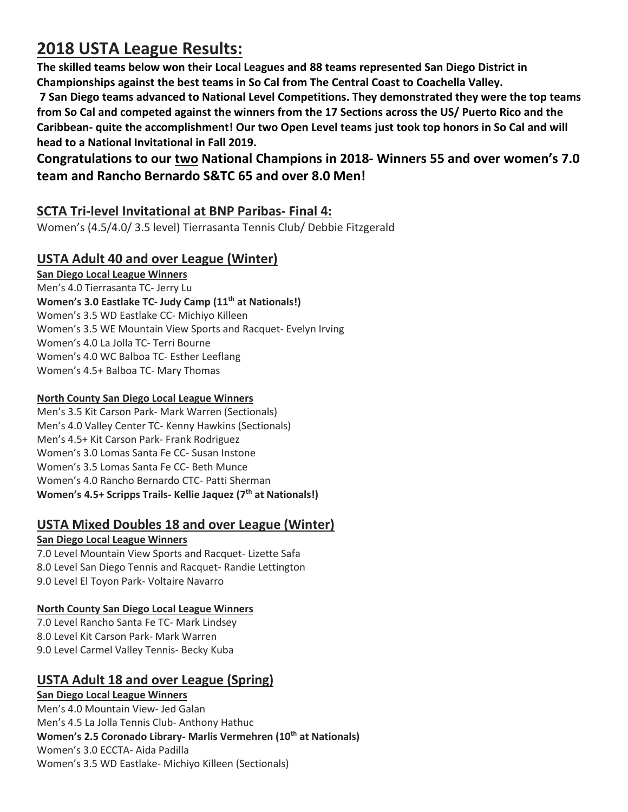# **2018 USTA League Results:**

**The skilled teams below won their Local Leagues and 88 teams represented San Diego District in Championships against the best teams in So Cal from The Central Coast to Coachella Valley.**

**7 San Diego teams advanced to National Level Competitions. They demonstrated they were the top teams from So Cal and competed against the winners from the 17 Sections across the US/ Puerto Rico and the Caribbean- quite the accomplishment! Our two Open Level teams just took top honors in So Cal and will head to a National Invitational in Fall 2019.** 

# **Congratulations to our two National Champions in 2018- Winners 55 and over women's 7.0 team and Rancho Bernardo S&TC 65 and over 8.0 Men!**

# **SCTA Tri-level Invitational at BNP Paribas- Final 4:**

Women's (4.5/4.0/ 3.5 level) Tierrasanta Tennis Club/ Debbie Fitzgerald

# **USTA Adult 40 and over League (Winter)**

### **San Diego Local League Winners**

Men's 4.0 Tierrasanta TC- Jerry Lu **Women's 3.0 Eastlake TC- Judy Camp (11th at Nationals!)** Women's 3.5 WD Eastlake CC- Michiyo Killeen Women's 3.5 WE Mountain View Sports and Racquet- Evelyn Irving Women's 4.0 La Jolla TC- Terri Bourne Women's 4.0 WC Balboa TC- Esther Leeflang Women's 4.5+ Balboa TC- Mary Thomas

### **North County San Diego Local League Winners**

Men's 3.5 Kit Carson Park- Mark Warren (Sectionals) Men's 4.0 Valley Center TC- Kenny Hawkins (Sectionals) Men's 4.5+ Kit Carson Park- Frank Rodriguez Women's 3.0 Lomas Santa Fe CC- Susan Instone Women's 3.5 Lomas Santa Fe CC- Beth Munce Women's 4.0 Rancho Bernardo CTC- Patti Sherman **Women's 4.5+ Scripps Trails- Kellie Jaquez (7 th at Nationals!)**

# **USTA Mixed Doubles 18 and over League (Winter)**

# **San Diego Local League Winners**

7.0 Level Mountain View Sports and Racquet- Lizette Safa 8.0 Level San Diego Tennis and Racquet- Randie Lettington 9.0 Level El Toyon Park- Voltaire Navarro

# **North County San Diego Local League Winners**

7.0 Level Rancho Santa Fe TC- Mark Lindsey 8.0 Level Kit Carson Park- Mark Warren 9.0 Level Carmel Valley Tennis- Becky Kuba

# **USTA Adult 18 and over League (Spring)**

# **San Diego Local League Winners**

Men's 4.0 Mountain View- Jed Galan Men's 4.5 La Jolla Tennis Club- Anthony Hathuc **Women's 2.5 Coronado Library- Marlis Vermehren (10th at Nationals)** Women's 3.0 ECCTA- Aida Padilla Women's 3.5 WD Eastlake- Michiyo Killeen (Sectionals)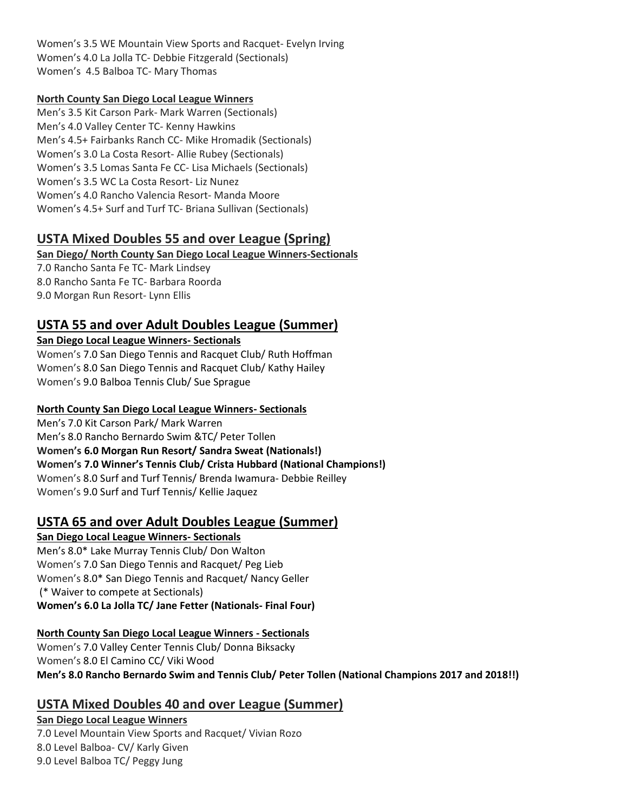Women's 3.5 WE Mountain View Sports and Racquet- Evelyn Irving Women's 4.0 La Jolla TC- Debbie Fitzgerald (Sectionals) Women's 4.5 Balboa TC- Mary Thomas

#### **North County San Diego Local League Winners**

Men's 3.5 Kit Carson Park- Mark Warren (Sectionals) Men's 4.0 Valley Center TC- Kenny Hawkins Men's 4.5+ Fairbanks Ranch CC- Mike Hromadik (Sectionals) Women's 3.0 La Costa Resort- Allie Rubey (Sectionals) Women's 3.5 Lomas Santa Fe CC- Lisa Michaels (Sectionals) Women's 3.5 WC La Costa Resort- Liz Nunez Women's 4.0 Rancho Valencia Resort- Manda Moore Women's 4.5+ Surf and Turf TC- Briana Sullivan (Sectionals)

# **USTA Mixed Doubles 55 and over League (Spring)**

**San Diego/ North County San Diego Local League Winners-Sectionals**

7.0 Rancho Santa Fe TC- Mark Lindsey 8.0 Rancho Santa Fe TC- Barbara Roorda 9.0 Morgan Run Resort- Lynn Ellis

# **USTA 55 and over Adult Doubles League (Summer)**

### **San Diego Local League Winners- Sectionals**

Women's 7.0 San Diego Tennis and Racquet Club/ Ruth Hoffman Women's 8.0 San Diego Tennis and Racquet Club/ Kathy Hailey Women's 9.0 Balboa Tennis Club/ Sue Sprague

### **North County San Diego Local League Winners- Sectionals**

Men's 7.0 Kit Carson Park/ Mark Warren Men's 8.0 Rancho Bernardo Swim &TC/ Peter Tollen **Women's 6.0 Morgan Run Resort/ Sandra Sweat (Nationals!) Women's 7.0 Winner's Tennis Club/ Crista Hubbard (National Champions!)** Women's 8.0 Surf and Turf Tennis/ Brenda Iwamura- Debbie Reilley Women's 9.0 Surf and Turf Tennis/ Kellie Jaquez

# **USTA 65 and over Adult Doubles League (Summer)**

**San Diego Local League Winners- Sectionals** Men's 8.0\* Lake Murray Tennis Club/ Don Walton Women's 7.0 San Diego Tennis and Racquet/ Peg Lieb Women's 8.0\* San Diego Tennis and Racquet/ Nancy Geller (\* Waiver to compete at Sectionals) **Women's 6.0 La Jolla TC/ Jane Fetter (Nationals- Final Four)**

#### **North County San Diego Local League Winners - Sectionals**

Women's 7.0 Valley Center Tennis Club/ Donna Biksacky Women's 8.0 El Camino CC/ Viki Wood **Men's 8.0 Rancho Bernardo Swim and Tennis Club/ Peter Tollen (National Champions 2017 and 2018!!)**

# **USTA Mixed Doubles 40 and over League (Summer)**

### **San Diego Local League Winners**

7.0 Level Mountain View Sports and Racquet/ Vivian Rozo 8.0 Level Balboa- CV/ Karly Given 9.0 Level Balboa TC/ Peggy Jung